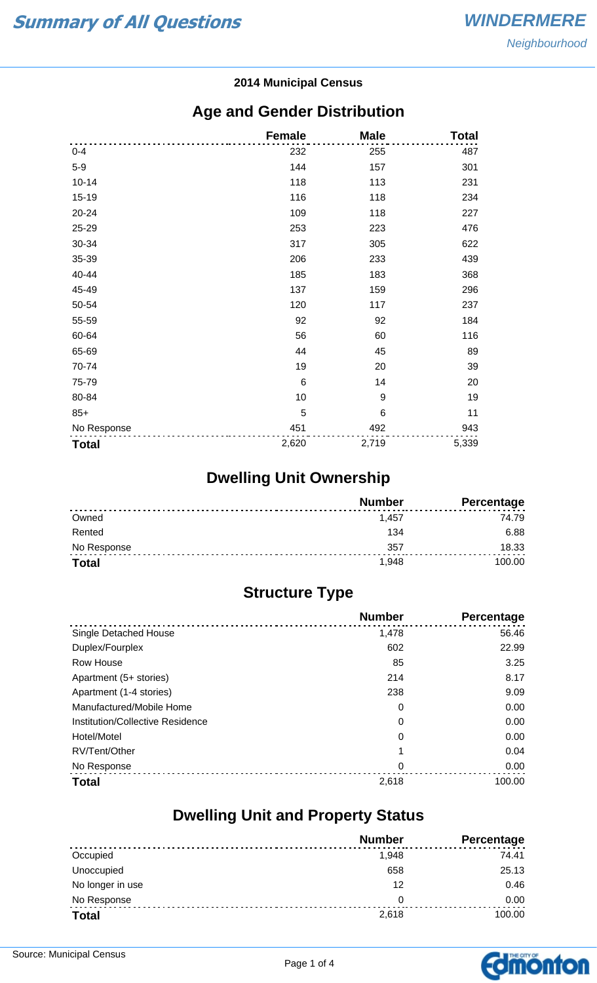#### **2014 Municipal Census**

#### **Age and Gender Distribution**

|              | <b>Female</b>   | <b>Male</b>     | <b>Total</b> |
|--------------|-----------------|-----------------|--------------|
| $0 - 4$      | 232             | 255             | 487          |
| $5-9$        | 144             | 157             | 301          |
| $10 - 14$    | 118             | 113             | 231          |
| $15 - 19$    | 116             | 118             | 234          |
| 20-24        | 109             | 118             | 227          |
| 25-29        | 253             | 223             | 476          |
| 30-34        | 317             | 305             | 622          |
| 35-39        | 206             | 233             | 439          |
| 40-44        | 185             | 183             | 368          |
| 45-49        | 137             | 159             | 296          |
| 50-54        | 120             | 117             | 237          |
| 55-59        | 92              | 92              | 184          |
| 60-64        | 56              | 60              | 116          |
| 65-69        | 44              | 45              | 89           |
| 70-74        | 19              | 20              | 39           |
| 75-79        | $6\phantom{1}6$ | 14              | 20           |
| 80-84        | 10              | 9               | 19           |
| $85+$        | 5               | $6\phantom{1}6$ | 11           |
| No Response  | 451             | 492             | 943          |
| <b>Total</b> | 2,620           | 2,719           | 5,339        |

## **Dwelling Unit Ownership**

|              | <b>Number</b> | Percentage |
|--------------|---------------|------------|
| Owned        | 1.457         | 74.79      |
| Rented       | 134           | 6.88       |
| No Response  | 357           | 18.33      |
| <b>Total</b> | 1.948         | 100.00     |

## **Structure Type**

|                                  | <b>Number</b> | Percentage |
|----------------------------------|---------------|------------|
| Single Detached House            | 1,478         | 56.46      |
| Duplex/Fourplex                  | 602           | 22.99      |
| Row House                        | 85            | 3.25       |
| Apartment (5+ stories)           | 214           | 8.17       |
| Apartment (1-4 stories)          | 238           | 9.09       |
| Manufactured/Mobile Home         | 0             | 0.00       |
| Institution/Collective Residence | 0             | 0.00       |
| Hotel/Motel                      | 0             | 0.00       |
| RV/Tent/Other                    |               | 0.04       |
| No Response                      | 0             | 0.00       |
| <b>Total</b>                     | 2,618         | 100.00     |

#### **Dwelling Unit and Property Status**

|                  | <b>Number</b> | <b>Percentage</b> |
|------------------|---------------|-------------------|
| Occupied         | 1,948         | 74.41             |
| Unoccupied       | 658           | 25.13             |
| No longer in use | 12            | 0.46              |
| No Response      | 0             | 0.00              |
| <b>Total</b>     | 2,618         | 100.00            |

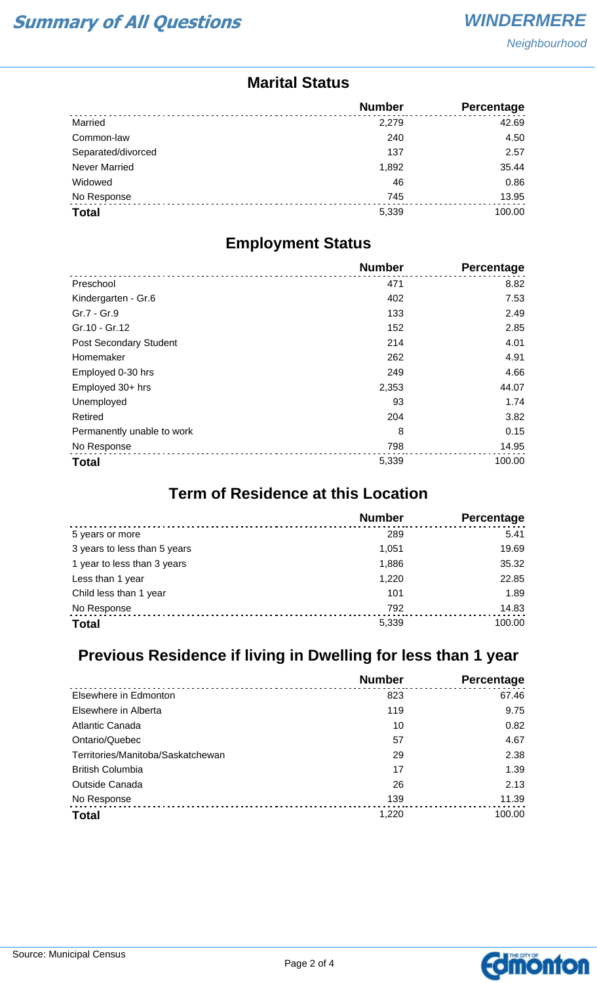#### **Marital Status**

|                      | <b>Number</b> | <b>Percentage</b> |
|----------------------|---------------|-------------------|
| Married              | 2,279         | 42.69             |
| Common-law           | 240           | 4.50              |
| Separated/divorced   | 137           | 2.57              |
| <b>Never Married</b> | 1,892         | 35.44             |
| Widowed              | 46            | 0.86              |
| No Response          | 745           | 13.95             |
| <b>Total</b>         | 5,339         | 100.00            |

#### **Employment Status**

|                            | <b>Number</b> | <b>Percentage</b> |
|----------------------------|---------------|-------------------|
| Preschool                  | 471           | 8.82              |
| Kindergarten - Gr.6        | 402           | 7.53              |
| Gr.7 - Gr.9                | 133           | 2.49              |
| Gr.10 - Gr.12              | 152           | 2.85              |
| Post Secondary Student     | 214           | 4.01              |
| Homemaker                  | 262           | 4.91              |
| Employed 0-30 hrs          | 249           | 4.66              |
| Employed 30+ hrs           | 2,353         | 44.07             |
| Unemployed                 | 93            | 1.74              |
| Retired                    | 204           | 3.82              |
| Permanently unable to work | 8             | 0.15              |
| No Response                | 798           | 14.95             |
| <b>Total</b>               | 5,339         | 100.00            |

## **Term of Residence at this Location**

|                              | <b>Number</b> | Percentage |
|------------------------------|---------------|------------|
| 5 years or more              | 289           | 5.41       |
| 3 years to less than 5 years | 1.051         | 19.69      |
| 1 year to less than 3 years  | 1,886         | 35.32      |
| Less than 1 year             | 1,220         | 22.85      |
| Child less than 1 year       | 101           | 1.89       |
| No Response                  | 792           | 14.83      |
| <b>Total</b>                 | 5,339         | 100.00     |

## **Previous Residence if living in Dwelling for less than 1 year**

|                                   | <b>Number</b> | <b>Percentage</b> |
|-----------------------------------|---------------|-------------------|
| Elsewhere in Edmonton             | 823           | 67.46             |
| Elsewhere in Alberta              | 119           | 9.75              |
| Atlantic Canada                   | 10            | 0.82              |
| Ontario/Quebec                    | 57            | 4.67              |
| Territories/Manitoba/Saskatchewan | 29            | 2.38              |
| <b>British Columbia</b>           | 17            | 1.39              |
| <b>Outside Canada</b>             | 26            | 2.13              |
| No Response                       | 139           | 11.39             |
| <b>Total</b>                      | 1,220         | 100.00            |

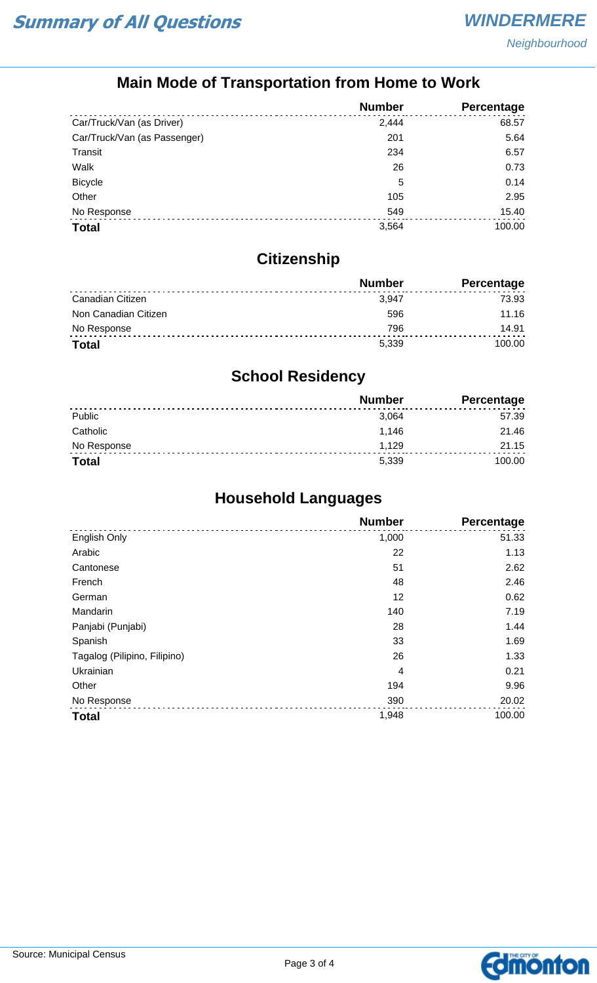## **Main Mode of Transportation from Home to Work**

|                              | <b>Number</b> | Percentage |
|------------------------------|---------------|------------|
| Car/Truck/Van (as Driver)    | 2,444         | 68.57      |
| Car/Truck/Van (as Passenger) | 201           | 5.64       |
| Transit                      | 234           | 6.57       |
| Walk                         | 26            | 0.73       |
| <b>Bicycle</b>               | 5             | 0.14       |
| Other                        | 105           | 2.95       |
| No Response                  | 549           | 15.40      |
| <b>Total</b>                 | 3,564         | 100.00     |

## **Citizenship**

|                      | <b>Number</b> | <b>Percentage</b> |
|----------------------|---------------|-------------------|
| Canadian Citizen     | 3.947         | 73.93             |
| Non Canadian Citizen | 596           | 11.16             |
| No Response          | 796           | 14.91             |
| <b>Total</b>         | 5.339         | 100.00            |

## **School Residency**

|              | <b>Number</b> | <b>Percentage</b> |
|--------------|---------------|-------------------|
| Public       | 3,064         | 57.39             |
| Catholic     | 1.146         | 21.46             |
| No Response  | 1.129         | 21.15             |
| <b>Total</b> | 5,339         | 100.00            |

## **Household Languages**

|                              | <b>Number</b> | Percentage |
|------------------------------|---------------|------------|
| English Only                 | 1,000         | 51.33      |
| Arabic                       | 22            | 1.13       |
| Cantonese                    | 51            | 2.62       |
| French                       | 48            | 2.46       |
| German                       | 12            | 0.62       |
| Mandarin                     | 140           | 7.19       |
| Panjabi (Punjabi)            | 28            | 1.44       |
| Spanish                      | 33            | 1.69       |
| Tagalog (Pilipino, Filipino) | 26            | 1.33       |
| Ukrainian                    | 4             | 0.21       |
| Other                        | 194           | 9.96       |
| No Response                  | 390           | 20.02      |
| <b>Total</b>                 | 1,948         | 100.00     |